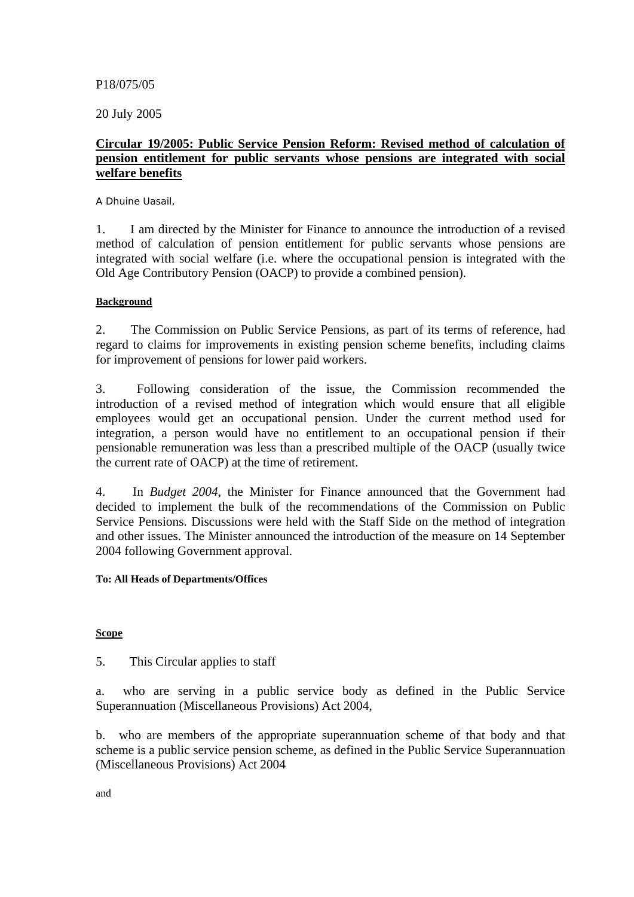### P18/075/05

20 July 2005

# **Circular 19/2005: Public Service Pension Reform: Revised method of calculation of pension entitlement for public servants whose pensions are integrated with social welfare benefits**

A Dhuine Uasail,

1. I am directed by the Minister for Finance to announce the introduction of a revised method of calculation of pension entitlement for public servants whose pensions are integrated with social welfare (i.e. where the occupational pension is integrated with the Old Age Contributory Pension (OACP) to provide a combined pension).

## **Background**

2. The Commission on Public Service Pensions, as part of its terms of reference, had regard to claims for improvements in existing pension scheme benefits, including claims for improvement of pensions for lower paid workers.

3. Following consideration of the issue, the Commission recommended the introduction of a revised method of integration which would ensure that all eligible employees would get an occupational pension. Under the current method used for integration, a person would have no entitlement to an occupational pension if their pensionable remuneration was less than a prescribed multiple of the OACP (usually twice the current rate of OACP) at the time of retirement.

4. In *Budget 2004*, the Minister for Finance announced that the Government had decided to implement the bulk of the recommendations of the Commission on Public Service Pensions. Discussions were held with the Staff Side on the method of integration and other issues. The Minister announced the introduction of the measure on 14 September 2004 following Government approval.

### **To: All Heads of Departments/Offices**

### **Scope**

5. This Circular applies to staff

a. who are serving in a public service body as defined in the Public Service Superannuation (Miscellaneous Provisions) Act 2004,

b. who are members of the appropriate superannuation scheme of that body and that scheme is a public service pension scheme, as defined in the Public Service Superannuation (Miscellaneous Provisions) Act 2004

and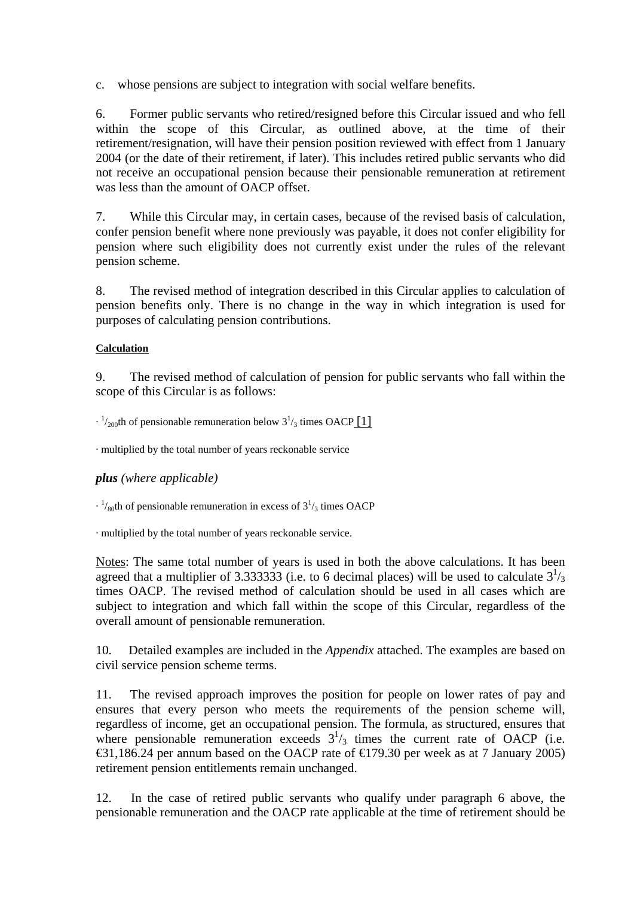c. whose pensions are subject to integration with social welfare benefits.

6. Former public servants who retired/resigned before this Circular issued and who fell within the scope of this Circular, as outlined above, at the time of their retirement/resignation, will have their pension position reviewed with effect from 1 January 2004 (or the date of their retirement, if later). This includes retired public servants who did not receive an occupational pension because their pensionable remuneration at retirement was less than the amount of OACP offset.

7. While this Circular may, in certain cases, because of the revised basis of calculation, confer pension benefit where none previously was payable, it does not confer eligibility for pension where such eligibility does not currently exist under the rules of the relevant pension scheme.

8. The revised method of integration described in this Circular applies to calculation of pension benefits only. There is no change in the way in which integration is used for purposes of calculating pension contributions.

## **Calculation**

9. The revised method of calculation of pension for public servants who fall within the scope of this Circular is as follows:

 $\cdot$   $\frac{1}{200}$ th of pensionable remuneration below  $3\frac{1}{3}$  times OACP [\[1\]](http://www.finance.gov.ie/dbadmin/docpublication/wysiwyg/editor.asp?DoF_File=%2Fdocuments%2Fcirculars%2Fcirc192005%2Ehtm#_ftn1)

· multiplied by the total number of years reckonable service

# *plus (where applicable)*

 $\cdot$  <sup>1</sup>/<sub>80</sub>th of pensionable remuneration in excess of  $3<sup>1</sup>$ /<sub>3</sub> times OACP

· multiplied by the total number of years reckonable service.

Notes: The same total number of years is used in both the above calculations. It has been agreed that a multiplier of 3.333333 (i.e. to 6 decimal places) will be used to calculate  $3^{1/3}$ times OACP. The revised method of calculation should be used in all cases which are subject to integration and which fall within the scope of this Circular, regardless of the overall amount of pensionable remuneration.

10. Detailed examples are included in the *Appendix* attached. The examples are based on civil service pension scheme terms.

11. The revised approach improves the position for people on lower rates of pay and ensures that every person who meets the requirements of the pension scheme will, regardless of income, get an occupational pension. The formula, as structured, ensures that where pensionable remuneration exceeds  $3^{1/3}$  times the current rate of OACP (i.e. €31,186.24 per annum based on the OACP rate of  $€179.30$  per week as at 7 January 2005) retirement pension entitlements remain unchanged.

12. In the case of retired public servants who qualify under paragraph 6 above, the pensionable remuneration and the OACP rate applicable at the time of retirement should be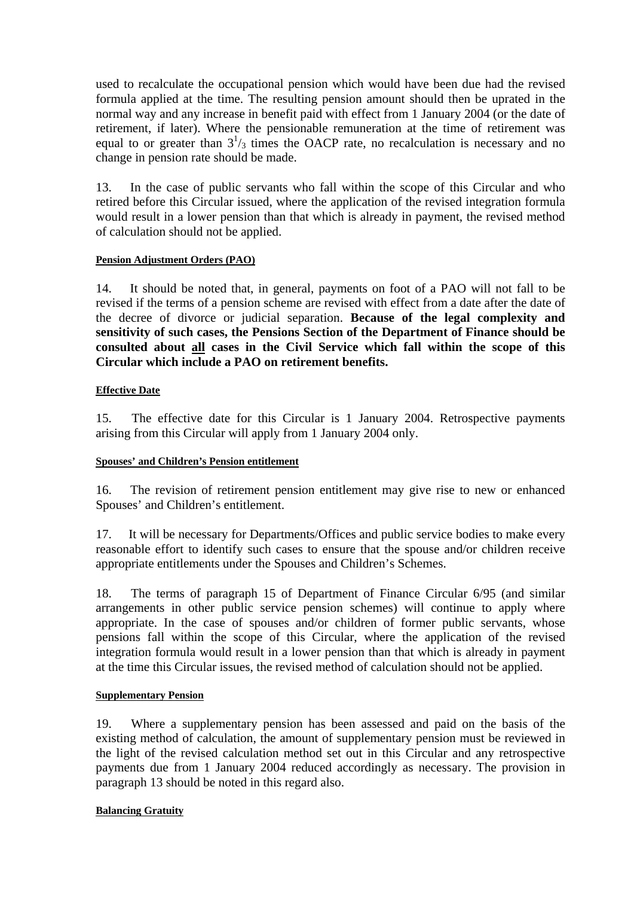used to recalculate the occupational pension which would have been due had the revised formula applied at the time. The resulting pension amount should then be uprated in the normal way and any increase in benefit paid with effect from 1 January 2004 (or the date of retirement, if later). Where the pensionable remuneration at the time of retirement was equal to or greater than  $3^{1}/_{3}$  times the OACP rate, no recalculation is necessary and no change in pension rate should be made.

13. In the case of public servants who fall within the scope of this Circular and who retired before this Circular issued, where the application of the revised integration formula would result in a lower pension than that which is already in payment, the revised method of calculation should not be applied.

### **Pension Adjustment Orders (PAO)**

14. It should be noted that, in general, payments on foot of a PAO will not fall to be revised if the terms of a pension scheme are revised with effect from a date after the date of the decree of divorce or judicial separation. **Because of the legal complexity and sensitivity of such cases, the Pensions Section of the Department of Finance should be consulted about all cases in the Civil Service which fall within the scope of this Circular which include a PAO on retirement benefits.**

## **Effective Date**

15. The effective date for this Circular is 1 January 2004. Retrospective payments arising from this Circular will apply from 1 January 2004 only.

### **Spouses' and Children's Pension entitlement**

16. The revision of retirement pension entitlement may give rise to new or enhanced Spouses' and Children's entitlement.

17. It will be necessary for Departments/Offices and public service bodies to make every reasonable effort to identify such cases to ensure that the spouse and/or children receive appropriate entitlements under the Spouses and Children's Schemes.

18. The terms of paragraph 15 of Department of Finance Circular 6/95 (and similar arrangements in other public service pension schemes) will continue to apply where appropriate. In the case of spouses and/or children of former public servants, whose pensions fall within the scope of this Circular, where the application of the revised integration formula would result in a lower pension than that which is already in payment at the time this Circular issues, the revised method of calculation should not be applied.

### **Supplementary Pension**

19. Where a supplementary pension has been assessed and paid on the basis of the existing method of calculation, the amount of supplementary pension must be reviewed in the light of the revised calculation method set out in this Circular and any retrospective payments due from 1 January 2004 reduced accordingly as necessary. The provision in paragraph 13 should be noted in this regard also.

### **Balancing Gratuity**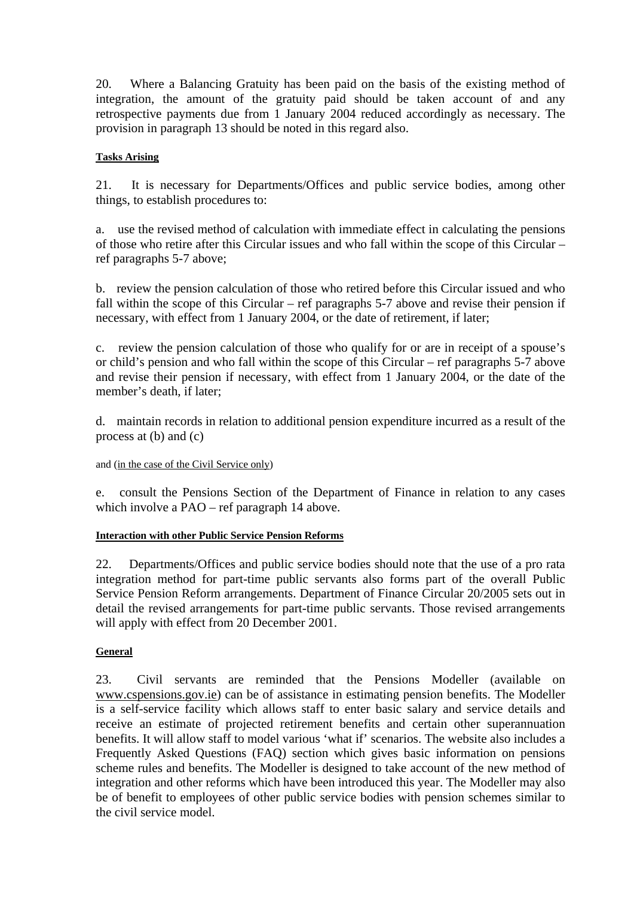20. Where a Balancing Gratuity has been paid on the basis of the existing method of integration, the amount of the gratuity paid should be taken account of and any retrospective payments due from 1 January 2004 reduced accordingly as necessary. The provision in paragraph 13 should be noted in this regard also.

### **Tasks Arising**

21. It is necessary for Departments/Offices and public service bodies, among other things, to establish procedures to:

a. use the revised method of calculation with immediate effect in calculating the pensions of those who retire after this Circular issues and who fall within the scope of this Circular – ref paragraphs 5-7 above;

b. review the pension calculation of those who retired before this Circular issued and who fall within the scope of this Circular – ref paragraphs 5-7 above and revise their pension if necessary, with effect from 1 January 2004, or the date of retirement, if later;

c. review the pension calculation of those who qualify for or are in receipt of a spouse's or child's pension and who fall within the scope of this Circular – ref paragraphs 5-7 above and revise their pension if necessary, with effect from 1 January 2004, or the date of the member's death, if later;

d. maintain records in relation to additional pension expenditure incurred as a result of the process at (b) and (c)

### and (in the case of the Civil Service only)

e. consult the Pensions Section of the Department of Finance in relation to any cases which involve a PAO – ref paragraph 14 above.

### **Interaction with other Public Service Pension Reforms**

22. Departments/Offices and public service bodies should note that the use of a pro rata integration method for part-time public servants also forms part of the overall Public Service Pension Reform arrangements. Department of Finance Circular 20/2005 sets out in detail the revised arrangements for part-time public servants. Those revised arrangements will apply with effect from 20 December 2001.

# **General**

23. Civil servants are reminded that the Pensions Modeller (available on www.cspensions.gov.ie) can be of assistance in estimating pension benefits. The Modeller is a self-service facility which allows staff to enter basic salary and service details and receive an estimate of projected retirement benefits and certain other superannuation benefits. It will allow staff to model various 'what if' scenarios. The website also includes a Frequently Asked Questions (FAQ) section which gives basic information on pensions scheme rules and benefits. The Modeller is designed to take account of the new method of integration and other reforms which have been introduced this year. The Modeller may also be of benefit to employees of other public service bodies with pension schemes similar to the civil service model.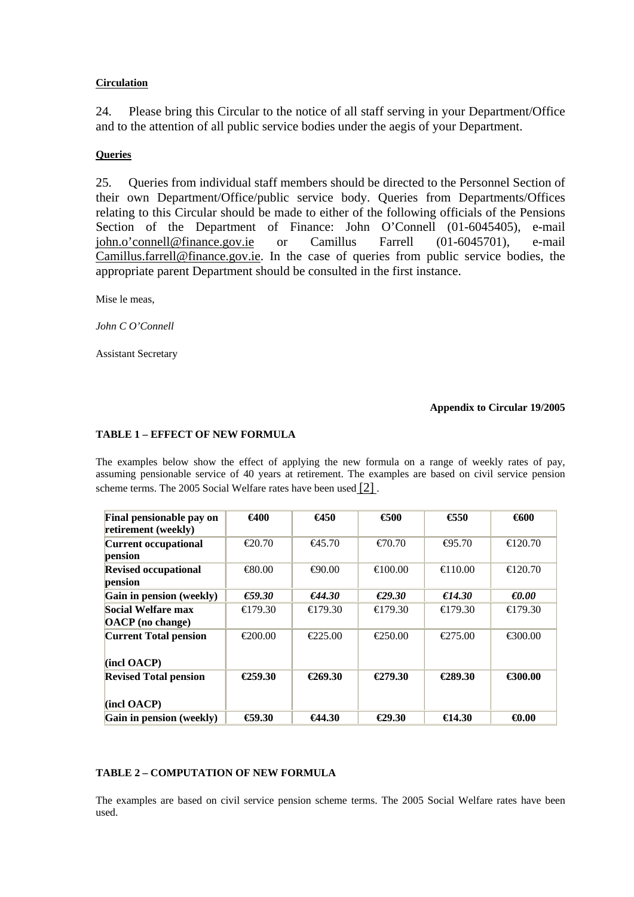#### **Circulation**

24. Please bring this Circular to the notice of all staff serving in your Department/Office and to the attention of all public service bodies under the aegis of your Department.

#### **Queries**

25. Queries from individual staff members should be directed to the Personnel Section of their own Department/Office/public service body. Queries from Departments/Offices relating to this Circular should be made to either of the following officials of the Pensions Section of the Department of Finance: John O'Connell (01-6045405), e-mail [john.o'connell@finance.gov.ie](mailto:john.oconnell@finance.gov.ie) or Camillus Farrell (01-6045701), e-mail [Camillus.farrell@finance.gov.ie.](mailto:Camillus.farrell@finance.gov.ie) In the case of queries from public service bodies, the appropriate parent Department should be consulted in the first instance.

Mise le meas,

*John C O'Connell*

Assistant Secretary

#### **Appendix to Circular 19/2005**

#### **TABLE 1 – EFFECT OF NEW FORMULA**

The examples below show the effect of applying the new formula on a range of weekly rates of pay, assuming pensionable service of 40 years at retirement. The examples are based on civil service pension scheme terms. The 2005 Social Welfare rates have been used  $[2]$ .

| Final pensionable pay on     | $\epsilon$ 400    | $\bigoplus$ 50    | $\epsilon$ 500     | $\bigoplus 50$    | 6600              |
|------------------------------|-------------------|-------------------|--------------------|-------------------|-------------------|
| retirement (weekly)          |                   |                   |                    |                   |                   |
| <b>Current occupational</b>  | $\epsilon$ 20.70  | $-645.70$         | $\epsilon$ 70.70   | $\bigoplus$ 5.70  | $\bigoplus$ 20.70 |
| pension                      |                   |                   |                    |                   |                   |
| <b>Revised occupational</b>  | $-680.00$         | $\bigoplus$ 0.00  | $\bigoplus$ 00.00  | $\bigoplus$ 10.00 | $\epsilon$ 20.70  |
| pension                      |                   |                   |                    |                   |                   |
| Gain in pension (weekly)     | $\epsilon$ 59.30  | €44.30            | $\epsilon$ 29.30   | €14.30            | $\epsilon$ 0.00   |
| Social Welfare max           | $\bigoplus$ 79.30 | $\bigoplus$ 79.30 | $\bigoplus$ 79.30  | $\bigoplus$ 79.30 | $\bigoplus$ 79.30 |
| <b>OACP</b> (no change)      |                   |                   |                    |                   |                   |
| <b>Current Total pension</b> | €200.00           | $\epsilon$ 25.00  | $-250.00$          | $\epsilon$ 275.00 | €300.00           |
|                              |                   |                   |                    |                   |                   |
| (incl OACP)                  |                   |                   |                    |                   |                   |
| <b>Revised Total pension</b> | $\bigoplus 59.30$ | $\epsilon$ 269.30 | €279.30            | €289.30           | €300.00           |
|                              |                   |                   |                    |                   |                   |
| (incl OACP)                  |                   |                   |                    |                   |                   |
| Gain in pension (weekly)     | $\bigoplus$ 9.30  | $-644.30$         | <del>€</del> 29.30 | $\bigoplus$ 4.30  | $\bigoplus$ 0.00  |

#### **TABLE 2 – COMPUTATION OF NEW FORMULA**

The examples are based on civil service pension scheme terms. The 2005 Social Welfare rates have been used.